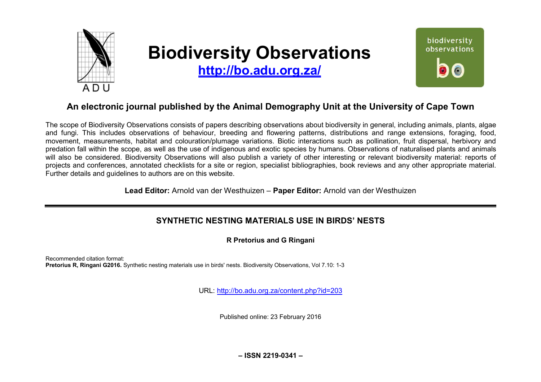

# **Biodiversity Observations**

**<http://bo.adu.org.za/>**



# **An electronic journal published by the Animal Demography Unit at the University of Cape Town**

The scope of Biodiversity Observations consists of papers describing observations about biodiversity in general, including animals, plants, algae and fungi. This includes observations of behaviour, breeding and flowering patterns, distributions and range extensions, foraging, food, movement, measurements, habitat and colouration/plumage variations. Biotic interactions such as pollination, fruit dispersal, herbivory and predation fall within the scope, as well as the use of indigenous and exotic species by humans. Observations of naturalised plants and animals will also be considered. Biodiversity Observations will also publish a variety of other interesting or relevant biodiversity material: reports of projects and conferences, annotated checklists for a site or region, specialist bibliographies, book reviews and any other appropriate material. Further details and guidelines to authors are on this website.

**Lead Editor:** Arnold van der Westhuizen – **Paper Editor:** Arnold van der Westhuizen

# **SYNTHETIC NESTING MATERIALS USE IN BIRDS' NESTS**

**R Pretorius and G Ringani** 

Recommended citation format: **Pretorius R, Ringani G2016.** Synthetic nesting materials use in birds' nests. Biodiversity Observations, Vol 7.10: 1-3

URL: <http://bo.adu.org.za/content.php?id=203>

Published online: 23 February 2016

**– ISSN 2219-0341 –**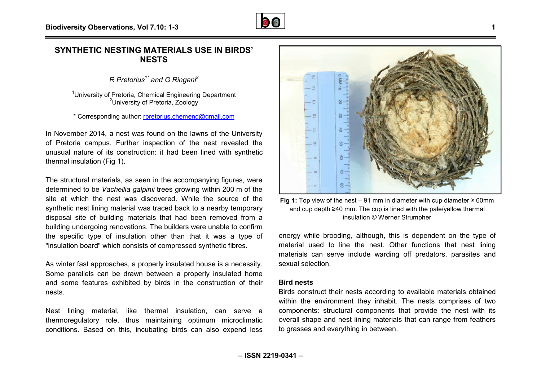## **SYNTHETIC NESTING MATERIALS USE IN BIRDS' NESTS**

*R Pretorius1\* and G Ringani<sup>2</sup>*

<sup>1</sup> University of Pretoria, Chemical Engineering Department <sup>2</sup>University of Pretoria, Zoology

\* Corresponding author: [rpretorius.chemeng@gmail.com](mailto:rpretorius.chemeng@gmail.com)

In November 2014, a nest was found on the lawns of the University of Pretoria campus. Further inspection of the nest revealed the unusual nature of its construction: it had been lined with synthetic thermal insulation (Fig 1).

The structural materials, as seen in the accompanying figures, were determined to be Vachellia galpinii trees growing within 200 m of the site at which the nest was discovered. While the source of the synthetic nest lining material was traced back to a nearby temporary disposal site of building materials that had been removed from a building undergoing renovations. The builders were unable to confirm the specific type of insulation other than that it was a type of "insulation board" which consists of compressed synthetic fibres. The mest was discovered. While the source of the mest – 91 mm in diameter with cup diameter<br>
interior in the same of the same of the methanom and cup depth ≥40 mm. The cup is lined with the pale/yellow the<br>
interior of in

As winter fast approaches, a properly insulated house is a necessity. Some parallels can be drawn between a properly insulated home and some features exhibited by birds in the construction of their nests.

Nest lining material, like thermal insulation, can serve a thermoregulatory role, thus maintaining optimum microclimatic conditions. Based on this, incubating birds can also expend less



and cup depth ≥40 mm. The cup is lined with the pale/yellow thermal insulation © Werner Strumpher Fig 1: Top view of the nest – 91 mm in diameter with cup diameter  $\geq 60$ mm

energy while brooding, although, this is dependent on the type of material used to line the nest. Other functions that nest lining materials can serve include warding off predators, parasites and sexual selection.

#### **Bird nests**

Birds construct their nests according to available materials obtained within the environment they inhabit. The nests comprises of two components: structural components that provide the nest with its overall shape and nest lining materials that can range from feathers to grasses and everything in between.

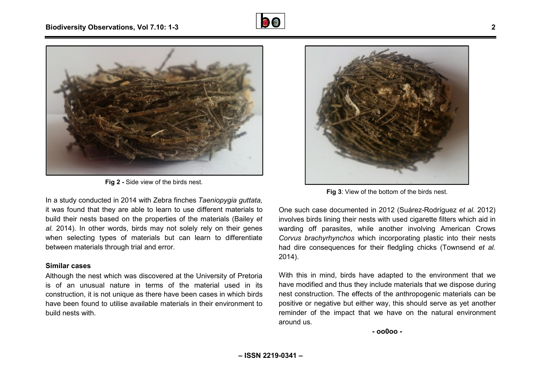



**Fig 2 -** Side view of the birds nest.

In a study conducted in 2014 with Zebra finches *Taeniopygia guttata* , it was found that they are able to learn to use different materials to build their nests based on the properties of the materials (Bailey et *al.* 2014). In other words, birds may not solely rely on their genes when selecting types of materials but can learn to differentiate between materials through trial and error. Fig 3: View of the bottom of the birds nest.<br>
Fig 3: View of the bottom of the birds nest.<br>
und that they are able to learn to use different materials to<br>
In other words, birds may not solely rely on their genes<br>
letting t

#### **Similar cases**

Although the nest which was discovered at the University of Pretoria is of an unusual nature in terms of the material used in its construction, it is not unique as there have been cases in which birds have been found to utilise available materials in their environment to build nests with.



One such case documented in 2012 (Suárez-Rodrígue Rodríguez *et al.* 2012) involves birds lining their nests with used cigarette filters which aid in warding off parasites, while another involving American Crows *Corvus brachyrhynchos* which incorporating plastic into their nests had dire consequences for their fledgling chicks (Townsend et al. 2014).

With this in mind, birds have adapted to the environment that we have modified and thus they include materials that we dispose during nest construction. The effects of the anthropogenic materials can be positive or negative but either way, this should serve as yet another reminder of the impact that we have on the natural environment around us.

**- oo0oo -**